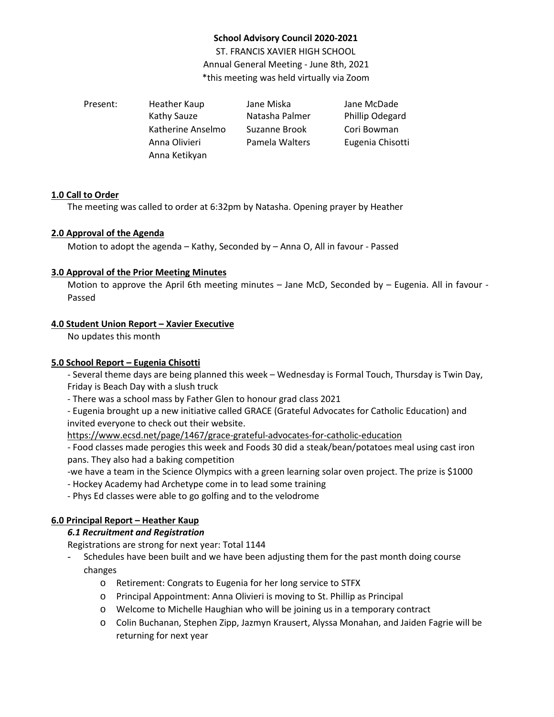# **School Advisory Council 2020-2021**

ST. FRANCIS XAVIER HIGH SCHOOL Annual General Meeting - June 8th, 2021 \*this meeting was held virtually via Zoom

Present: Heather Kaup Jane Miska Jane McDade Kathy Sauze **Natasha Palmer** Phillip Odegard Katherine Anselmo Suzanne Brook Cori Bowman Anna Olivieri Pamela Walters Eugenia Chisotti Anna Ketikyan

## **1.0 Call to Order**

The meeting was called to order at 6:32pm by Natasha. Opening prayer by Heather

### **2.0 Approval of the Agenda**

Motion to adopt the agenda – Kathy, Seconded by – Anna O, All in favour - Passed

## **3.0 Approval of the Prior Meeting Minutes**

Motion to approve the April 6th meeting minutes – Jane McD, Seconded by – Eugenia. All in favour -Passed

## **4.0 Student Union Report – Xavier Executive**

No updates this month

## **5.0 School Report – Eugenia Chisotti**

- Several theme days are being planned this week – Wednesday is Formal Touch, Thursday is Twin Day, Friday is Beach Day with a slush truck

- There was a school mass by Father Glen to honour grad class 2021

- Eugenia brought up a new initiative called GRACE (Grateful Advocates for Catholic Education) and invited everyone to check out their website.

<https://www.ecsd.net/page/1467/grace-grateful-advocates-for-catholic-education>

- Food classes made perogies this week and Foods 30 did a steak/bean/potatoes meal using cast iron pans. They also had a baking competition

-we have a team in the Science Olympics with a green learning solar oven project. The prize is \$1000

- Hockey Academy had Archetype come in to lead some training

- Phys Ed classes were able to go golfing and to the velodrome

# **6.0 Principal Report – Heather Kaup**

### *6.1 Recruitment and Registration*

Registrations are strong for next year: Total 1144

- Schedules have been built and we have been adjusting them for the past month doing course changes
	- o Retirement: Congrats to Eugenia for her long service to STFX
	- o Principal Appointment: Anna Olivieri is moving to St. Phillip as Principal
	- o Welcome to Michelle Haughian who will be joining us in a temporary contract
	- o Colin Buchanan, Stephen Zipp, Jazmyn Krausert, Alyssa Monahan, and Jaiden Fagrie will be returning for next year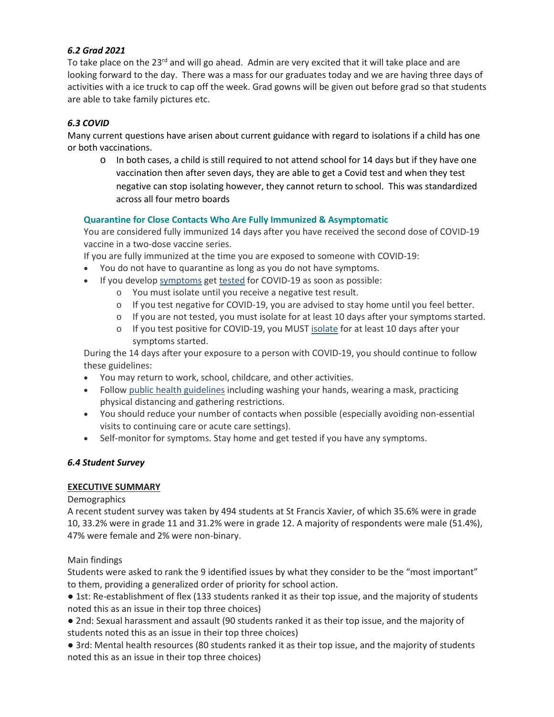# *6.2 Grad 2021*

To take place on the 23<sup>rd</sup> and will go ahead. Admin are very excited that it will take place and are looking forward to the day. There was a mass for our graduates today and we are having three days of activities with a ice truck to cap off the week. Grad gowns will be given out before grad so that students are able to take family pictures etc.

# *6.3 COVID*

Many current questions have arisen about current guidance with regard to isolations if a child has one or both vaccinations.

 $\circ$  In both cases, a child is still required to not attend school for 14 days but if they have one vaccination then after seven days, they are able to get a Covid test and when they test negative can stop isolating however, they cannot return to school. This was standardized across all four metro boards

# **Quarantine for Close Contacts Who Are Fully Immunized & Asymptomatic**

You are considered fully immunized 14 days after you have received the second dose of COVID-19 vaccine in a two-dose vaccine series.

If you are fully immunized at the time you are exposed to someone with COVID-19:

- You do not have to quarantine as long as you do not have symptoms.
- If you develop [symptoms](https://can01.safelinks.protection.outlook.com/?url=https%3A%2F%2Fwww.albertahealthservices.ca%2Ftopics%2FPage17260.aspx&data=04%7C01%7CHeather.Kaup%40ecsd.net%7C2156eddb84e2427d61f608d92abc3173%7Cb18d9f6f0743460da19b0b3297eeeb89%7C0%7C0%7C637587810034723209%7CUnknown%7CTWFpbGZsb3d8eyJWIjoiMC4wLjAwMDAiLCJQIjoiV2luMzIiLCJBTiI6Ik1haWwiLCJXVCI6Mn0%3D%7C1000&sdata=%2FdGnhZ4SbWK12rl6PqaZ7lwRRBACB9l7AMpUI6j8tuI%3D&reserved=0) get [tested](https://can01.safelinks.protection.outlook.com/?url=https%3A%2F%2Fwww.albertahealthservices.ca%2Ftopics%2FPage17058.aspx&data=04%7C01%7CHeather.Kaup%40ecsd.net%7C2156eddb84e2427d61f608d92abc3173%7Cb18d9f6f0743460da19b0b3297eeeb89%7C0%7C0%7C637587810034723209%7CUnknown%7CTWFpbGZsb3d8eyJWIjoiMC4wLjAwMDAiLCJQIjoiV2luMzIiLCJBTiI6Ik1haWwiLCJXVCI6Mn0%3D%7C1000&sdata=kQaZVCtnzZ9u9v0IypGfbWH7%2B6lR0itCNKdJ%2Fsle5OI%3D&reserved=0) for COVID-19 as soon as possible:
	- o You must isolate until you receive a negative test result.
	- o If you test negative for COVID-19, you are advised to stay home until you feel better.
	- o If you are not tested, you must isolate for at least 10 days after your symptoms started.
	- o If you test positive for COVID-19, you MUST [isolate](https://can01.safelinks.protection.outlook.com/?url=https%3A%2F%2Fwww.albertahealthservices.ca%2Ftopics%2FPage17239.aspx%23what-how-when&data=04%7C01%7CHeather.Kaup%40ecsd.net%7C2156eddb84e2427d61f608d92abc3173%7Cb18d9f6f0743460da19b0b3297eeeb89%7C0%7C0%7C637587810034733171%7CUnknown%7CTWFpbGZsb3d8eyJWIjoiMC4wLjAwMDAiLCJQIjoiV2luMzIiLCJBTiI6Ik1haWwiLCJXVCI6Mn0%3D%7C1000&sdata=UmpvpVyofditqQw8xunnIogdmCg42LcZr4CMZxmbh8w%3D&reserved=0) for at least 10 days after your symptoms started.

During the 14 days after your exposure to a person with COVID-19, you should continue to follow these guidelines:

- You may return to work, school, childcare, and other activities.
- Follow public health [guidelines](https://can01.safelinks.protection.outlook.com/?url=https%3A%2F%2Fwww.alberta.ca%2Fenhanced-public-health-measures.aspx&data=04%7C01%7CHeather.Kaup%40ecsd.net%7C2156eddb84e2427d61f608d92abc3173%7Cb18d9f6f0743460da19b0b3297eeeb89%7C0%7C0%7C637587810034733171%7CUnknown%7CTWFpbGZsb3d8eyJWIjoiMC4wLjAwMDAiLCJQIjoiV2luMzIiLCJBTiI6Ik1haWwiLCJXVCI6Mn0%3D%7C1000&sdata=WQ0Sh1yZRAouZwnt23tAaD4uVuSFYaaI7pjqr%2BK5v1E%3D&reserved=0) including washing your hands, wearing a mask, practicing physical distancing and gathering restrictions.
- You should reduce your number of contacts when possible (especially avoiding non-essential visits to continuing care or acute care settings).
- Self-monitor for symptoms. Stay home and get tested if you have any symptoms.

# *6.4 Student Survey*

## **EXECUTIVE SUMMARY**

**Demographics** 

A recent student survey was taken by 494 students at St Francis Xavier, of which 35.6% were in grade 10, 33.2% were in grade 11 and 31.2% were in grade 12. A majority of respondents were male (51.4%), 47% were female and 2% were non-binary.

### Main findings

Students were asked to rank the 9 identified issues by what they consider to be the "most important" to them, providing a generalized order of priority for school action.

● 1st: Re-establishment of flex (133 students ranked it as their top issue, and the majority of students noted this as an issue in their top three choices)

● 2nd: Sexual harassment and assault (90 students ranked it as their top issue, and the majority of students noted this as an issue in their top three choices)

● 3rd: Mental health resources (80 students ranked it as their top issue, and the majority of students noted this as an issue in their top three choices)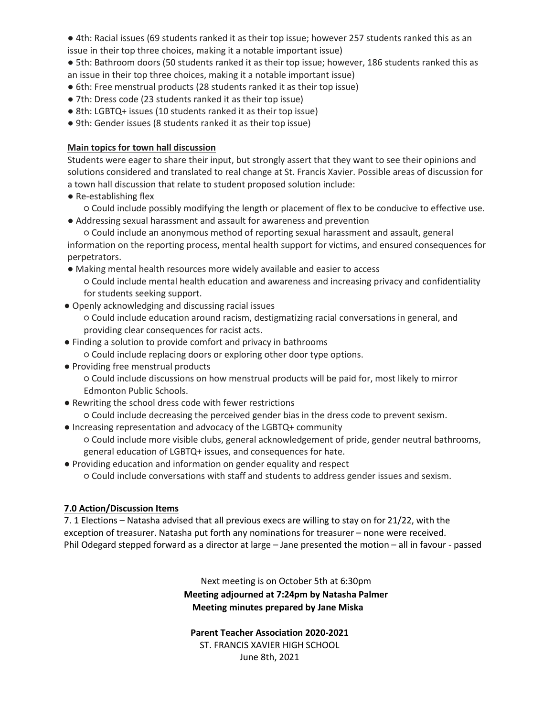- 4th: Racial issues (69 students ranked it as their top issue; however 257 students ranked this as an issue in their top three choices, making it a notable important issue)
- 5th: Bathroom doors (50 students ranked it as their top issue; however, 186 students ranked this as an issue in their top three choices, making it a notable important issue)
- 6th: Free menstrual products (28 students ranked it as their top issue)
- 7th: Dress code (23 students ranked it as their top issue)
- 8th: LGBTQ+ issues (10 students ranked it as their top issue)
- 9th: Gender issues (8 students ranked it as their top issue)

# **Main topics for town hall discussion**

Students were eager to share their input, but strongly assert that they want to see their opinions and solutions considered and translated to real change at St. Francis Xavier. Possible areas of discussion for a town hall discussion that relate to student proposed solution include:

● Re-establishing flex

○ Could include possibly modifying the length or placement of flex to be conducive to effective use. ● Addressing sexual harassment and assault for awareness and prevention

○ Could include an anonymous method of reporting sexual harassment and assault, general information on the reporting process, mental health support for victims, and ensured consequences for perpetrators.

- Making mental health resources more widely available and easier to access ○ Could include mental health education and awareness and increasing privacy and confidentiality for students seeking support.
- Openly acknowledging and discussing racial issues

○ Could include education around racism, destigmatizing racial conversations in general, and providing clear consequences for racist acts.

- Finding a solution to provide comfort and privacy in bathrooms
- Could include replacing doors or exploring other door type options.
- Providing free menstrual products

○ Could include discussions on how menstrual products will be paid for, most likely to mirror Edmonton Public Schools.

● Rewriting the school dress code with fewer restrictions

○ Could include decreasing the perceived gender bias in the dress code to prevent sexism.

- Increasing representation and advocacy of the LGBTQ+ community ○ Could include more visible clubs, general acknowledgement of pride, gender neutral bathrooms, general education of LGBTQ+ issues, and consequences for hate.
- Providing education and information on gender equality and respect ○ Could include conversations with staff and students to address gender issues and sexism.

# **7.0 Action/Discussion Items**

7. 1 Elections – Natasha advised that all previous execs are willing to stay on for 21/22, with the exception of treasurer. Natasha put forth any nominations for treasurer – none were received. Phil Odegard stepped forward as a director at large – Jane presented the motion – all in favour - passed

> Next meeting is on October 5th at 6:30pm **Meeting adjourned at 7:24pm by Natasha Palmer Meeting minutes prepared by Jane Miska**

**Parent Teacher Association 2020-2021** ST. FRANCIS XAVIER HIGH SCHOOL June 8th, 2021